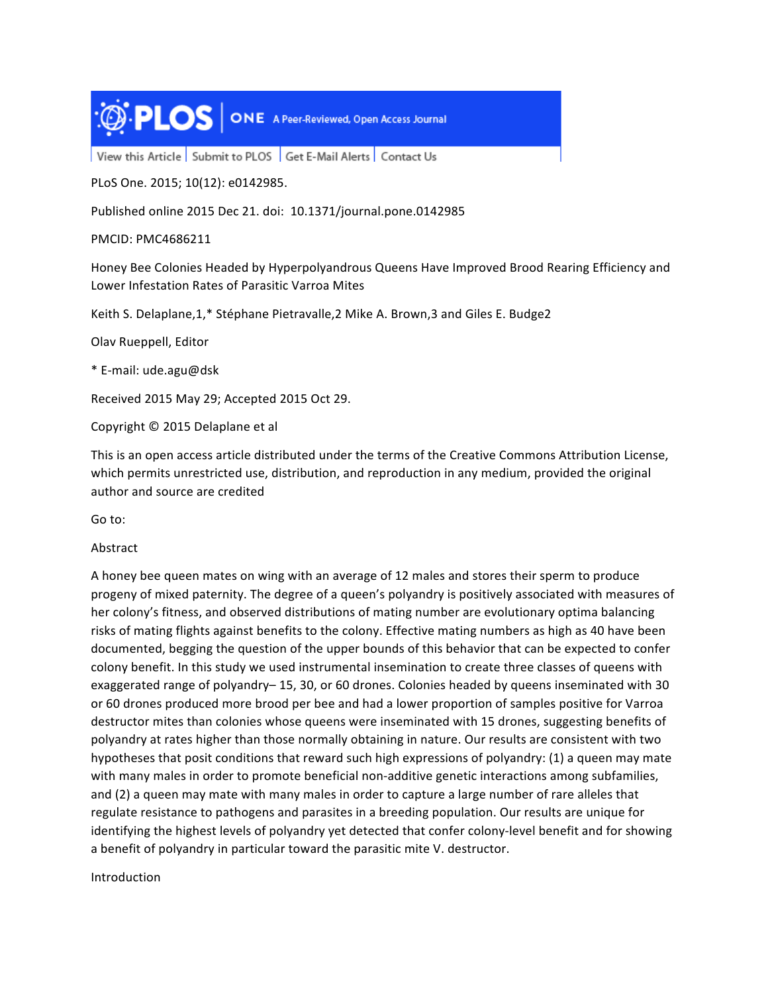

View this Article Submit to PLOS Get E-Mail Alerts Contact Us

PLoS One. 2015; 10(12): e0142985.

Published online 2015 Dec 21. doi: 10.1371/journal.pone.0142985

PMCID: PMC4686211

Honey Bee Colonies Headed by Hyperpolyandrous Queens Have Improved Brood Rearing Efficiency and Lower Infestation Rates of Parasitic Varroa Mites

Keith S. Delaplane, 1,\* Stéphane Pietravalle, 2 Mike A. Brown, 3 and Giles E. Budge2

Olav Rueppell, Editor

\* E-mail: ude.agu@dsk

Received 2015 May 29; Accepted 2015 Oct 29.

Copyright © 2015 Delaplane et al

This is an open access article distributed under the terms of the Creative Commons Attribution License, which permits unrestricted use, distribution, and reproduction in any medium, provided the original author and source are credited

Go to:

## Abstract

A honey bee queen mates on wing with an average of 12 males and stores their sperm to produce progeny of mixed paternity. The degree of a queen's polyandry is positively associated with measures of her colony's fitness, and observed distributions of mating number are evolutionary optima balancing risks of mating flights against benefits to the colony. Effective mating numbers as high as 40 have been documented, begging the question of the upper bounds of this behavior that can be expected to confer colony benefit. In this study we used instrumental insemination to create three classes of queens with exaggerated range of polyandry-15, 30, or 60 drones. Colonies headed by queens inseminated with 30 or 60 drones produced more brood per bee and had a lower proportion of samples positive for Varroa destructor mites than colonies whose queens were inseminated with 15 drones, suggesting benefits of polyandry at rates higher than those normally obtaining in nature. Our results are consistent with two hypotheses that posit conditions that reward such high expressions of polyandry: (1) a queen may mate with many males in order to promote beneficial non-additive genetic interactions among subfamilies, and (2) a queen may mate with many males in order to capture a large number of rare alleles that regulate resistance to pathogens and parasites in a breeding population. Our results are unique for identifying the highest levels of polyandry yet detected that confer colony-level benefit and for showing a benefit of polyandry in particular toward the parasitic mite V. destructor.

Introduction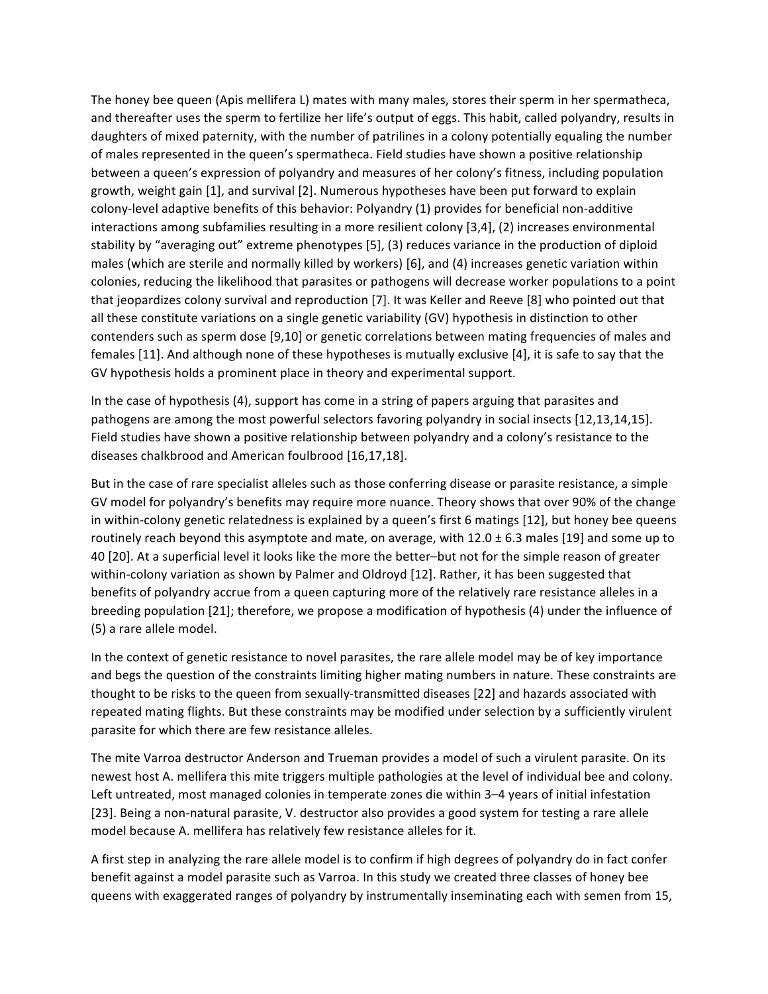The honey bee queen (Apis mellifera L) mates with many males, stores their sperm in her spermatheca, and thereafter uses the sperm to fertilize her life's output of eggs. This habit, called polyandry, results in daughters of mixed paternity, with the number of patrilines in a colony potentially equaling the number of males represented in the queen's spermatheca. Field studies have shown a positive relationship between a queen's expression of polyandry and measures of her colony's fitness, including population growth, weight gain [1], and survival [2]. Numerous hypotheses have been put forward to explain colony-level adaptive benefits of this behavior: Polyandry (1) provides for beneficial non-additive interactions among subfamilies resulting in a more resilient colony [3,4], (2) increases environmental stability by "averaging out" extreme phenotypes [5], (3) reduces variance in the production of diploid males (which are sterile and normally killed by workers) [6], and (4) increases genetic variation within colonies, reducing the likelihood that parasites or pathogens will decrease worker populations to a point that jeopardizes colony survival and reproduction [7]. It was Keller and Reeve [8] who pointed out that all these constitute variations on a single genetic variability (GV) hypothesis in distinction to other contenders such as sperm dose [9,10] or genetic correlations between mating frequencies of males and females [11]. And although none of these hypotheses is mutually exclusive [4], it is safe to say that the GV hypothesis holds a prominent place in theory and experimental support.

In the case of hypothesis (4), support has come in a string of papers arguing that parasites and pathogens are among the most powerful selectors favoring polyandry in social insects [12,13,14,15]. Field studies have shown a positive relationship between polyandry and a colony's resistance to the diseases chalkbrood and American foulbrood [16,17,18].

But in the case of rare specialist alleles such as those conferring disease or parasite resistance, a simple GV model for polyandry's benefits may require more nuance. Theory shows that over 90% of the change in within-colony genetic relatedness is explained by a queen's first 6 matings [12], but honey bee queens routinely reach beyond this asymptote and mate, on average, with  $12.0 \pm 6.3$  males [19] and some up to 40 [20]. At a superficial level it looks like the more the better–but not for the simple reason of greater within-colony variation as shown by Palmer and Oldroyd [12]. Rather, it has been suggested that benefits of polyandry accrue from a queen capturing more of the relatively rare resistance alleles in a breeding population [21]; therefore, we propose a modification of hypothesis (4) under the influence of (5) a rare allele model.

In the context of genetic resistance to novel parasites, the rare allele model may be of key importance and begs the question of the constraints limiting higher mating numbers in nature. These constraints are thought to be risks to the queen from sexually-transmitted diseases [22] and hazards associated with repeated mating flights. But these constraints may be modified under selection by a sufficiently virulent parasite for which there are few resistance alleles.

The mite Varroa destructor Anderson and Trueman provides a model of such a virulent parasite. On its newest host A. mellifera this mite triggers multiple pathologies at the level of individual bee and colony. Left untreated, most managed colonies in temperate zones die within 3–4 years of initial infestation [23]. Being a non-natural parasite, V. destructor also provides a good system for testing a rare allele model because A. mellifera has relatively few resistance alleles for it.

A first step in analyzing the rare allele model is to confirm if high degrees of polyandry do in fact confer benefit against a model parasite such as Varroa. In this study we created three classes of honey bee queens with exaggerated ranges of polyandry by instrumentally inseminating each with semen from 15,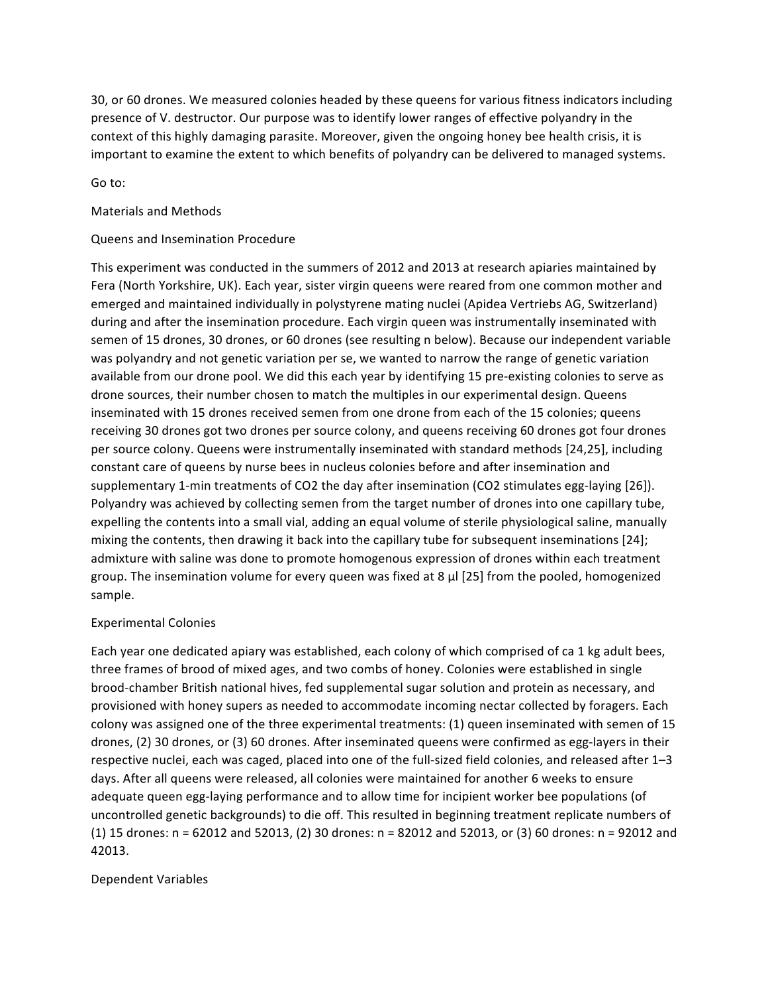30, or 60 drones. We measured colonies headed by these queens for various fitness indicators including presence of V. destructor. Our purpose was to identify lower ranges of effective polyandry in the context of this highly damaging parasite. Moreover, given the ongoing honey bee health crisis, it is important to examine the extent to which benefits of polyandry can be delivered to managed systems.

Go to:

### Materials and Methods

### Queens and Insemination Procedure

This experiment was conducted in the summers of 2012 and 2013 at research apiaries maintained by Fera (North Yorkshire, UK). Each year, sister virgin queens were reared from one common mother and emerged and maintained individually in polystyrene mating nuclei (Apidea Vertriebs AG, Switzerland) during and after the insemination procedure. Each virgin queen was instrumentally inseminated with semen of 15 drones, 30 drones, or 60 drones (see resulting n below). Because our independent variable was polyandry and not genetic variation per se, we wanted to narrow the range of genetic variation available from our drone pool. We did this each year by identifying 15 pre-existing colonies to serve as drone sources, their number chosen to match the multiples in our experimental design. Queens inseminated with 15 drones received semen from one drone from each of the 15 colonies; queens receiving 30 drones got two drones per source colony, and queens receiving 60 drones got four drones per source colony. Queens were instrumentally inseminated with standard methods [24,25], including constant care of queens by nurse bees in nucleus colonies before and after insemination and supplementary 1-min treatments of CO2 the day after insemination (CO2 stimulates egg-laying [26]). Polyandry was achieved by collecting semen from the target number of drones into one capillary tube, expelling the contents into a small vial, adding an equal volume of sterile physiological saline, manually mixing the contents, then drawing it back into the capillary tube for subsequent inseminations [24]; admixture with saline was done to promote homogenous expression of drones within each treatment group. The insemination volume for every queen was fixed at 8  $\mu$  [25] from the pooled, homogenized sample.

#### **Experimental Colonies**

Each year one dedicated apiary was established, each colony of which comprised of ca 1 kg adult bees, three frames of brood of mixed ages, and two combs of honey. Colonies were established in single brood-chamber British national hives, fed supplemental sugar solution and protein as necessary, and provisioned with honey supers as needed to accommodate incoming nectar collected by foragers. Each colony was assigned one of the three experimental treatments: (1) queen inseminated with semen of 15 drones, (2) 30 drones, or (3) 60 drones. After inseminated queens were confirmed as egg-layers in their respective nuclei, each was caged, placed into one of the full-sized field colonies, and released after 1-3 days. After all queens were released, all colonies were maintained for another 6 weeks to ensure adequate queen egg-laying performance and to allow time for incipient worker bee populations (of uncontrolled genetic backgrounds) to die off. This resulted in beginning treatment replicate numbers of (1) 15 drones: n = 62012 and 52013, (2) 30 drones: n = 82012 and 52013, or (3) 60 drones: n = 92012 and 42013.

#### Dependent Variables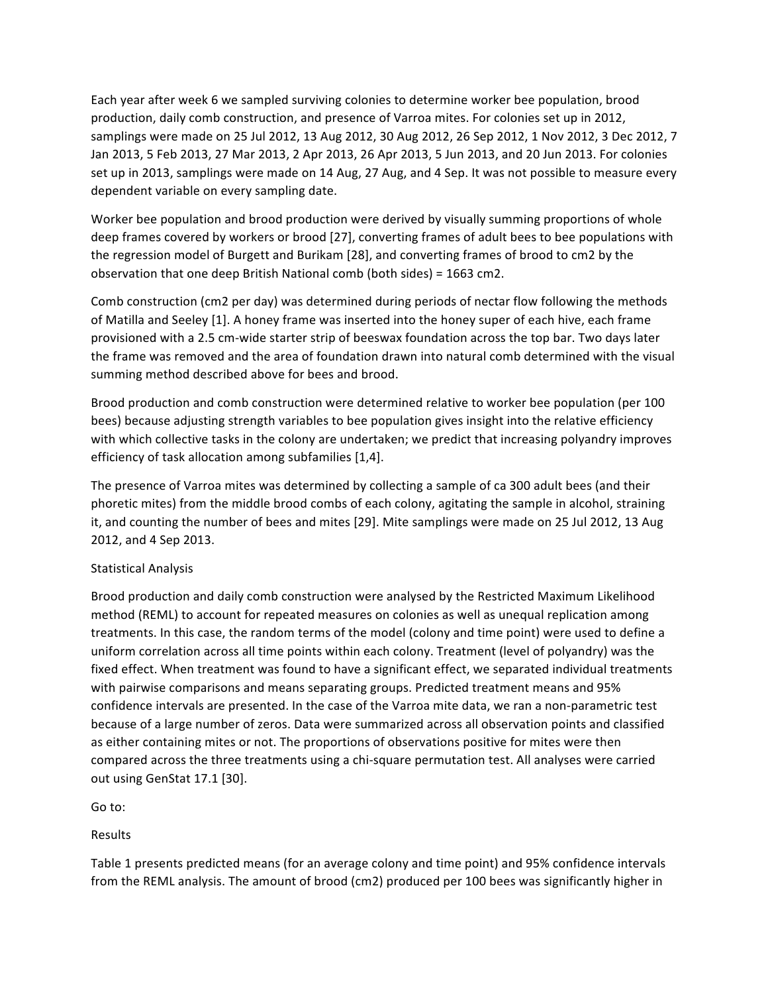Each year after week 6 we sampled surviving colonies to determine worker bee population, brood production, daily comb construction, and presence of Varroa mites. For colonies set up in 2012, samplings were made on 25 Jul 2012, 13 Aug 2012, 30 Aug 2012, 26 Sep 2012, 1 Nov 2012, 3 Dec 2012, 7 Jan 2013, 5 Feb 2013, 27 Mar 2013, 2 Apr 2013, 26 Apr 2013, 5 Jun 2013, and 20 Jun 2013. For colonies set up in 2013, samplings were made on 14 Aug, 27 Aug, and 4 Sep. It was not possible to measure every dependent variable on every sampling date.

Worker bee population and brood production were derived by visually summing proportions of whole deep frames covered by workers or brood [27], converting frames of adult bees to bee populations with the regression model of Burgett and Burikam [28], and converting frames of brood to cm2 by the observation that one deep British National comb (both sides) =  $1663$  cm2.

Comb construction (cm2 per day) was determined during periods of nectar flow following the methods of Matilla and Seeley [1]. A honey frame was inserted into the honey super of each hive, each frame provisioned with a 2.5 cm-wide starter strip of beeswax foundation across the top bar. Two days later the frame was removed and the area of foundation drawn into natural comb determined with the visual summing method described above for bees and brood.

Brood production and comb construction were determined relative to worker bee population (per 100 bees) because adjusting strength variables to bee population gives insight into the relative efficiency with which collective tasks in the colony are undertaken; we predict that increasing polyandry improves efficiency of task allocation among subfamilies [1,4].

The presence of Varroa mites was determined by collecting a sample of ca 300 adult bees (and their phoretic mites) from the middle brood combs of each colony, agitating the sample in alcohol, straining it, and counting the number of bees and mites [29]. Mite samplings were made on 25 Jul 2012, 13 Aug 2012, and 4 Sep 2013.

# Statistical Analysis

Brood production and daily comb construction were analysed by the Restricted Maximum Likelihood method (REML) to account for repeated measures on colonies as well as unequal replication among treatments. In this case, the random terms of the model (colony and time point) were used to define a uniform correlation across all time points within each colony. Treatment (level of polyandry) was the fixed effect. When treatment was found to have a significant effect, we separated individual treatments with pairwise comparisons and means separating groups. Predicted treatment means and 95% confidence intervals are presented. In the case of the Varroa mite data, we ran a non-parametric test because of a large number of zeros. Data were summarized across all observation points and classified as either containing mites or not. The proportions of observations positive for mites were then compared across the three treatments using a chi-square permutation test. All analyses were carried out using GenStat 17.1 [30].

Go to:

Results

Table 1 presents predicted means (for an average colony and time point) and 95% confidence intervals from the REML analysis. The amount of brood (cm2) produced per 100 bees was significantly higher in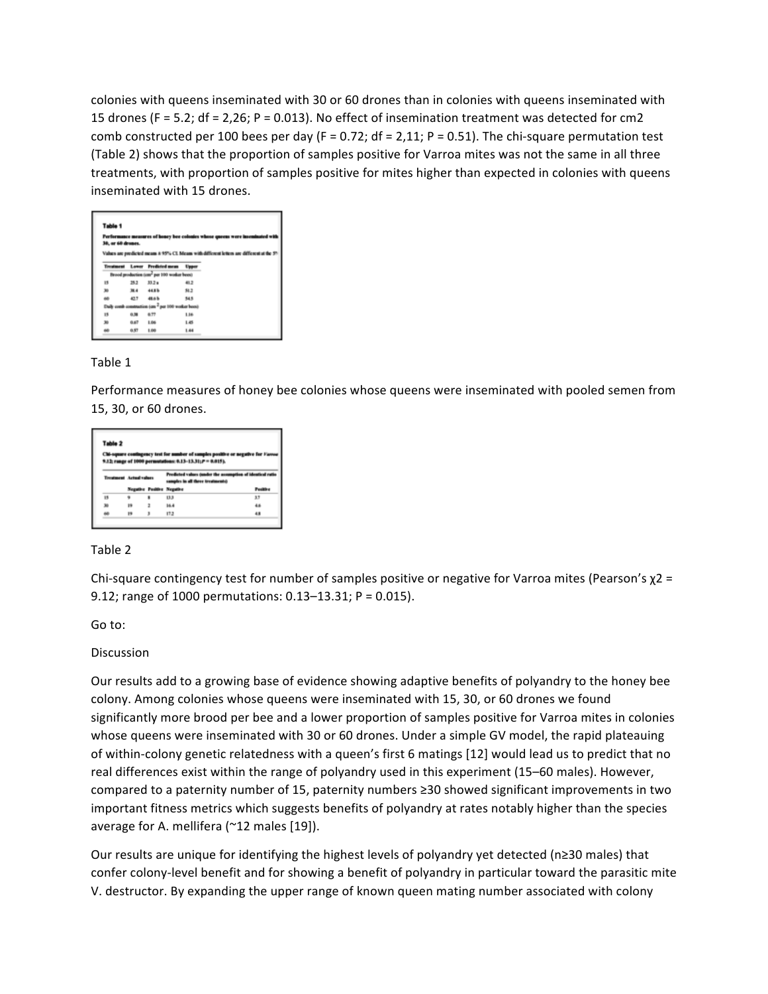colonies with queens inseminated with 30 or 60 drones than in colonies with queens inseminated with 15 drones (F = 5.2; df = 2,26; P = 0.013). No effect of insemination treatment was detected for cm2 comb constructed per 100 bees per day (F = 0.72; df = 2,11; P = 0.51). The chi-square permutation test (Table 2) shows that the proportion of samples positive for Varroa mites was not the same in all three treatments, with proportion of samples positive for mites higher than expected in colonies with queens inseminated with 15 drones.

| Table 1            |      |                                                                                                                                    |       |
|--------------------|------|------------------------------------------------------------------------------------------------------------------------------------|-------|
| 30, or 60 dresses. |      | Performance measures of honey bee colonies whose queens were inseminated with                                                      |       |
|                    |      | Values are predicted means a 95% CI. Means with different letters are different at the 59<br><b>Treatment Lower Predicted mean</b> | Upper |
|                    |      | Brood production (cm <sup>2</sup> per 100 worker bees)                                                                             |       |
| 15                 | 15.2 | $33.2 +$                                                                                                                           | 41.2  |
| 30                 | 38.4 | 44.8%                                                                                                                              | 51.2  |
| 66                 | 437  | 48.6 h                                                                                                                             | 54.5  |
| <b>Duit</b>        |      | comb construction (cm <sup>2</sup> per 100 weeker been)                                                                            |       |
| 15                 | 在漏   | 6.77                                                                                                                               | 1.16  |
| 30                 | 6.67 | 1.06                                                                                                                               | 1.45  |
|                    |      |                                                                                                                                    |       |

# Table 1

Performance measures of honey bee colonies whose queens were inseminated with pooled semen from 15, 30, or 60 drones.

|    |                         |   | Chi-square contingency test for number of samples positive or negative for Favou<br>9.12; range of 1000 permutations: 0.13-13.31; $P = 0.015$ ). |                 |  |  |  |  |
|----|-------------------------|---|--------------------------------------------------------------------------------------------------------------------------------------------------|-----------------|--|--|--|--|
|    |                         |   |                                                                                                                                                  |                 |  |  |  |  |
|    | Treatment Actual values |   | Produted values (under the assumption of identical ratio<br>samples in all these treatments)                                                     |                 |  |  |  |  |
|    |                         |   | Negative Positive Negative                                                                                                                       | <b>Positive</b> |  |  |  |  |
|    | ٠                       | ٠ | 13.3                                                                                                                                             | 33              |  |  |  |  |
| 15 |                         |   |                                                                                                                                                  |                 |  |  |  |  |
| 30 | <b>IS</b>               | ž | 16.4                                                                                                                                             | 46              |  |  |  |  |

## Table 2

Chi-square contingency test for number of samples positive or negative for Varroa mites (Pearson's  $\chi$ 2 = 9.12; range of 1000 permutations:  $0.13-13.31$ ; P =  $0.015$ ).

Go to:

## Discussion

Our results add to a growing base of evidence showing adaptive benefits of polyandry to the honey bee colony. Among colonies whose queens were inseminated with 15, 30, or 60 drones we found significantly more brood per bee and a lower proportion of samples positive for Varroa mites in colonies whose queens were inseminated with 30 or 60 drones. Under a simple GV model, the rapid plateauing of within-colony genetic relatedness with a queen's first 6 matings [12] would lead us to predict that no real differences exist within the range of polyandry used in this experiment (15–60 males). However, compared to a paternity number of 15, paternity numbers ≥30 showed significant improvements in two important fitness metrics which suggests benefits of polyandry at rates notably higher than the species average for A. mellifera ( $\sim$ 12 males [19]).

Our results are unique for identifying the highest levels of polyandry yet detected (n≥30 males) that confer colony-level benefit and for showing a benefit of polyandry in particular toward the parasitic mite V. destructor. By expanding the upper range of known queen mating number associated with colony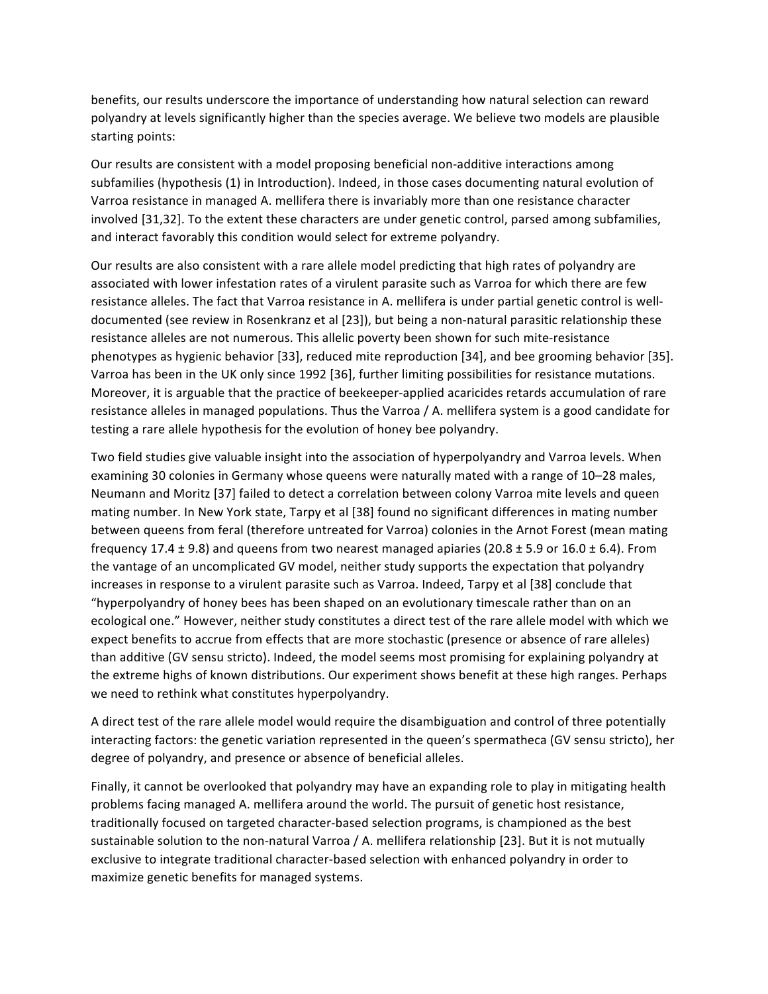benefits, our results underscore the importance of understanding how natural selection can reward polyandry at levels significantly higher than the species average. We believe two models are plausible starting points:

Our results are consistent with a model proposing beneficial non-additive interactions among subfamilies (hypothesis (1) in Introduction). Indeed, in those cases documenting natural evolution of Varroa resistance in managed A. mellifera there is invariably more than one resistance character involved [31,32]. To the extent these characters are under genetic control, parsed among subfamilies, and interact favorably this condition would select for extreme polyandry.

Our results are also consistent with a rare allele model predicting that high rates of polyandry are associated with lower infestation rates of a virulent parasite such as Varroa for which there are few resistance alleles. The fact that Varroa resistance in A. mellifera is under partial genetic control is welldocumented (see review in Rosenkranz et al [23]), but being a non-natural parasitic relationship these resistance alleles are not numerous. This allelic poverty been shown for such mite-resistance phenotypes as hygienic behavior [33], reduced mite reproduction [34], and bee grooming behavior [35]. Varroa has been in the UK only since 1992 [36], further limiting possibilities for resistance mutations. Moreover, it is arguable that the practice of beekeeper-applied acaricides retards accumulation of rare resistance alleles in managed populations. Thus the Varroa  $/$  A. mellifera system is a good candidate for testing a rare allele hypothesis for the evolution of honey bee polyandry.

Two field studies give valuable insight into the association of hyperpolyandry and Varroa levels. When examining 30 colonies in Germany whose queens were naturally mated with a range of 10–28 males, Neumann and Moritz [37] failed to detect a correlation between colony Varroa mite levels and queen mating number. In New York state, Tarpy et al [38] found no significant differences in mating number between queens from feral (therefore untreated for Varroa) colonies in the Arnot Forest (mean mating frequency 17.4  $\pm$  9.8) and queens from two nearest managed apiaries (20.8  $\pm$  5.9 or 16.0  $\pm$  6.4). From the vantage of an uncomplicated GV model, neither study supports the expectation that polyandry increases in response to a virulent parasite such as Varroa. Indeed, Tarpy et al [38] conclude that "hyperpolyandry of honey bees has been shaped on an evolutionary timescale rather than on an ecological one." However, neither study constitutes a direct test of the rare allele model with which we expect benefits to accrue from effects that are more stochastic (presence or absence of rare alleles) than additive (GV sensu stricto). Indeed, the model seems most promising for explaining polyandry at the extreme highs of known distributions. Our experiment shows benefit at these high ranges. Perhaps we need to rethink what constitutes hyperpolyandry.

A direct test of the rare allele model would require the disambiguation and control of three potentially interacting factors: the genetic variation represented in the queen's spermatheca (GV sensu stricto), her degree of polyandry, and presence or absence of beneficial alleles.

Finally, it cannot be overlooked that polyandry may have an expanding role to play in mitigating health problems facing managed A. mellifera around the world. The pursuit of genetic host resistance, traditionally focused on targeted character-based selection programs, is championed as the best sustainable solution to the non-natural Varroa / A. mellifera relationship [23]. But it is not mutually exclusive to integrate traditional character-based selection with enhanced polyandry in order to maximize genetic benefits for managed systems.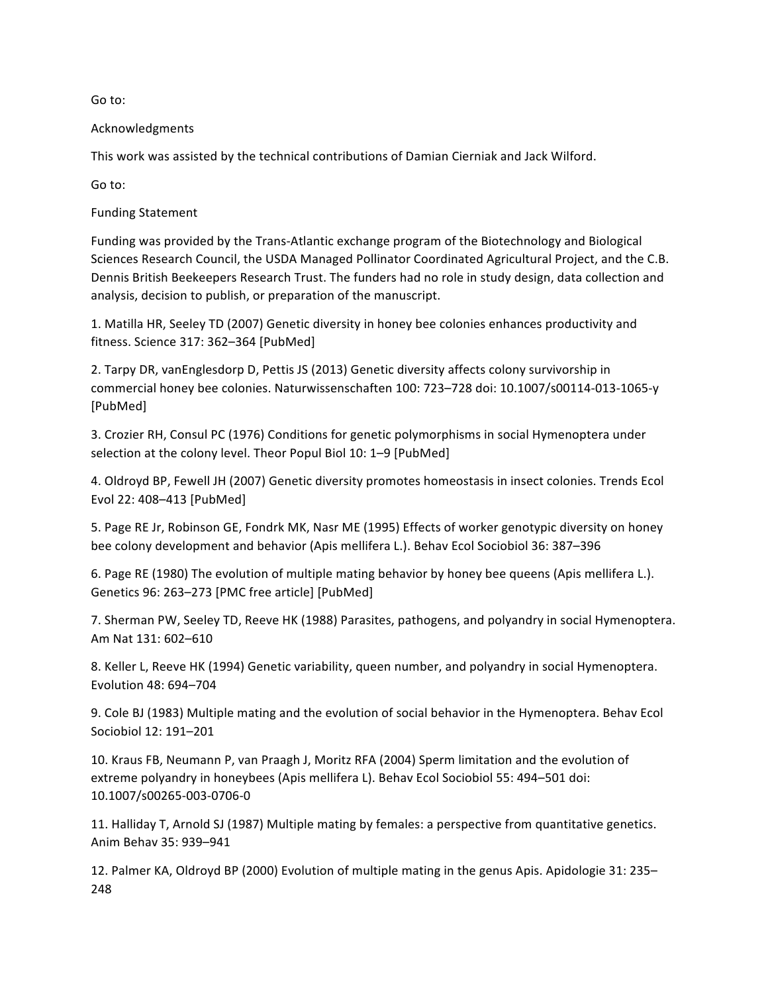Go to:

Acknowledgments

This work was assisted by the technical contributions of Damian Cierniak and Jack Wilford.

Go to:

**Funding Statement** 

Funding was provided by the Trans-Atlantic exchange program of the Biotechnology and Biological Sciences Research Council, the USDA Managed Pollinator Coordinated Agricultural Project, and the C.B. Dennis British Beekeepers Research Trust. The funders had no role in study design, data collection and analysis, decision to publish, or preparation of the manuscript.

1. Matilla HR, Seeley TD (2007) Genetic diversity in honey bee colonies enhances productivity and fitness. Science 317: 362-364 [PubMed]

2. Tarpy DR, vanEnglesdorp D, Pettis JS (2013) Genetic diversity affects colony survivorship in commercial honey bee colonies. Naturwissenschaften 100: 723-728 doi: 10.1007/s00114-013-1065-y [PubMed]

3. Crozier RH, Consul PC (1976) Conditions for genetic polymorphisms in social Hymenoptera under selection at the colony level. Theor Popul Biol 10: 1-9 [PubMed]

4. Oldroyd BP, Fewell JH (2007) Genetic diversity promotes homeostasis in insect colonies. Trends Ecol Evol 22: 408-413 [PubMed]

5. Page RE Jr, Robinson GE, Fondrk MK, Nasr ME (1995) Effects of worker genotypic diversity on honey bee colony development and behavior (Apis mellifera L.). Behav Ecol Sociobiol 36: 387-396

6. Page RE (1980) The evolution of multiple mating behavior by honey bee queens (Apis mellifera L.). Genetics 96: 263-273 [PMC free article] [PubMed]

7. Sherman PW, Seeley TD, Reeve HK (1988) Parasites, pathogens, and polyandry in social Hymenoptera. Am Nat 131: 602-610

8. Keller L, Reeve HK (1994) Genetic variability, queen number, and polyandry in social Hymenoptera. Evolution 48: 694-704

9. Cole BJ (1983) Multiple mating and the evolution of social behavior in the Hymenoptera. Behav Ecol Sociobiol 12: 191-201

10. Kraus FB, Neumann P, van Praagh J, Moritz RFA (2004) Sperm limitation and the evolution of extreme polyandry in honeybees (Apis mellifera L). Behav Ecol Sociobiol 55: 494-501 doi: 10.1007/s00265-003-0706-0

11. Halliday T, Arnold SJ (1987) Multiple mating by females: a perspective from quantitative genetics. Anim Behav 35: 939-941

12. Palmer KA, Oldroyd BP (2000) Evolution of multiple mating in the genus Apis. Apidologie 31: 235– 248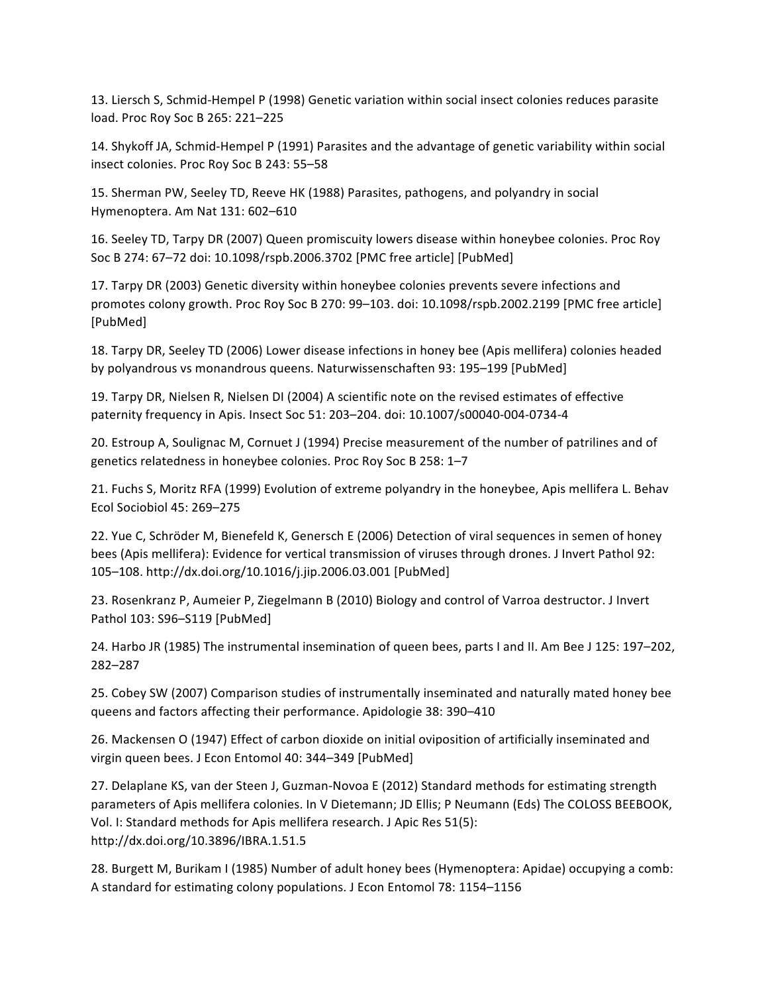13. Liersch S, Schmid-Hempel P (1998) Genetic variation within social insect colonies reduces parasite load. Proc Roy Soc B 265: 221-225

14. Shykoff JA, Schmid-Hempel P (1991) Parasites and the advantage of genetic variability within social insect colonies. Proc Roy Soc B 243: 55-58

15. Sherman PW, Seeley TD, Reeve HK (1988) Parasites, pathogens, and polyandry in social Hymenoptera. Am Nat 131: 602-610

16. Seeley TD, Tarpy DR (2007) Queen promiscuity lowers disease within honeybee colonies. Proc Roy Soc B 274: 67–72 doi: 10.1098/rspb.2006.3702 [PMC free article] [PubMed]

17. Tarpy DR (2003) Genetic diversity within honeybee colonies prevents severe infections and promotes colony growth. Proc Roy Soc B 270: 99–103. doi: 10.1098/rspb.2002.2199 [PMC free article] [PubMed]

18. Tarpy DR, Seeley TD (2006) Lower disease infections in honey bee (Apis mellifera) colonies headed by polyandrous vs monandrous queens. Naturwissenschaften 93: 195–199 [PubMed]

19. Tarpy DR, Nielsen R, Nielsen DI (2004) A scientific note on the revised estimates of effective paternity frequency in Apis. Insect Soc 51: 203-204. doi: 10.1007/s00040-004-0734-4

20. Estroup A, Soulignac M, Cornuet J (1994) Precise measurement of the number of patrilines and of genetics relatedness in honeybee colonies. Proc Roy Soc B 258: 1-7

21. Fuchs S, Moritz RFA (1999) Evolution of extreme polyandry in the honeybee, Apis mellifera L. Behav Ecol Sociobiol 45: 269-275

22. Yue C, Schröder M, Bienefeld K, Genersch E (2006) Detection of viral sequences in semen of honey bees (Apis mellifera): Evidence for vertical transmission of viruses through drones. J Invert Pathol 92: 105–108.!http://dx.doi.org/10.1016/j.jip.2006.03.001 [PubMed]

23. Rosenkranz P, Aumeier P, Ziegelmann B (2010) Biology and control of Varroa destructor. J Invert Pathol 103: S96-S119 [PubMed]

24. Harbo JR (1985) The instrumental insemination of queen bees, parts I and II. Am Bee J 125: 197–202, 282–287

25. Cobey SW (2007) Comparison studies of instrumentally inseminated and naturally mated honey bee queens and factors affecting their performance. Apidologie 38: 390-410

26. Mackensen O (1947) Effect of carbon dioxide on initial oviposition of artificially inseminated and virgin queen bees. J Econ Entomol 40: 344–349 [PubMed]

27. Delaplane KS, van der Steen J, Guzman-Novoa E (2012) Standard methods for estimating strength parameters of Apis mellifera colonies. In V Dietemann; JD Ellis; P Neumann (Eds) The COLOSS BEEBOOK, Vol. I: Standard methods for Apis mellifera research. J Apic Res 51(5): http://dx.doi.org/10.3896/IBRA.1.51.5

28. Burgett M, Burikam I (1985) Number of adult honey bees (Hymenoptera: Apidae) occupying a comb: A standard for estimating colony populations. J Econ Entomol 78: 1154–1156